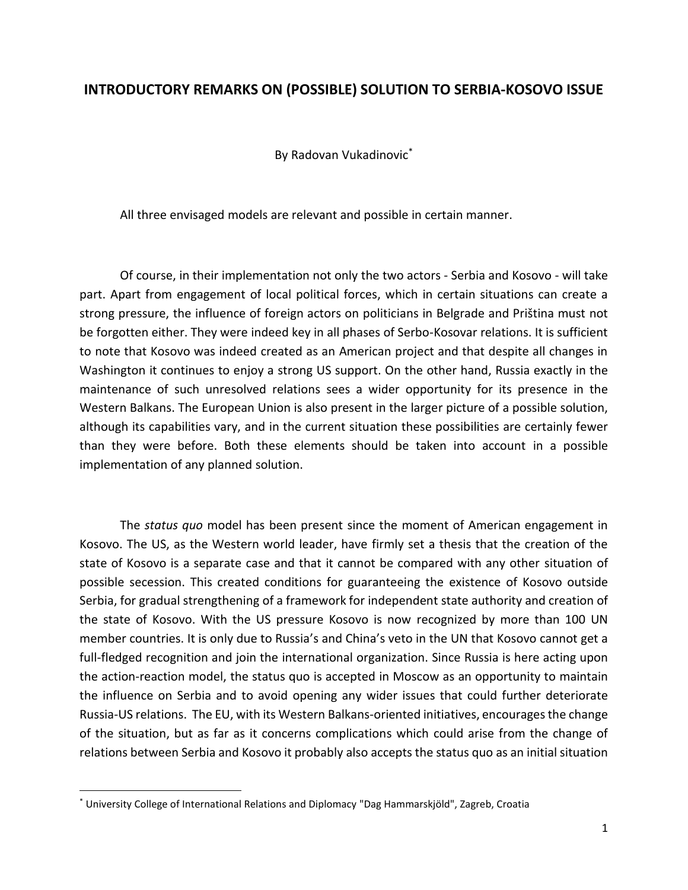## **INTRODUCTORY REMARKS ON (POSSIBLE) SOLUTION TO SERBIA-KOSOVO ISSUE**

By Radovan Vukadinovic\*

All three envisaged models are relevant and possible in certain manner.

Of course, in their implementation not only the two actors - Serbia and Kosovo - will take part. Apart from engagement of local political forces, which in certain situations can create a strong pressure, the influence of foreign actors on politicians in Belgrade and Priština must not be forgotten either. They were indeed key in all phases of Serbo-Kosovar relations. It is sufficient to note that Kosovo was indeed created as an American project and that despite all changes in Washington it continues to enjoy a strong US support. On the other hand, Russia exactly in the maintenance of such unresolved relations sees a wider opportunity for its presence in the Western Balkans. The European Union is also present in the larger picture of a possible solution, although its capabilities vary, and in the current situation these possibilities are certainly fewer than they were before. Both these elements should be taken into account in a possible implementation of any planned solution.

The *status quo* model has been present since the moment of American engagement in Kosovo. The US, as the Western world leader, have firmly set a thesis that the creation of the state of Kosovo is a separate case and that it cannot be compared with any other situation of possible secession. This created conditions for guaranteeing the existence of Kosovo outside Serbia, for gradual strengthening of a framework for independent state authority and creation of the state of Kosovo. With the US pressure Kosovo is now recognized by more than 100 UN member countries. It is only due to Russia's and China's veto in the UN that Kosovo cannot get a full-fledged recognition and join the international organization. Since Russia is here acting upon the action-reaction model, the status quo is accepted in Moscow as an opportunity to maintain the influence on Serbia and to avoid opening any wider issues that could further deteriorate Russia-US relations. The EU, with its Western Balkans-oriented initiatives, encourages the change of the situation, but as far as it concerns complications which could arise from the change of relations between Serbia and Kosovo it probably also accepts the status quo as an initial situation

<sup>\*</sup> University College of International Relations and Diplomacy "Dag Hammarskjöld", Zagreb, Croatia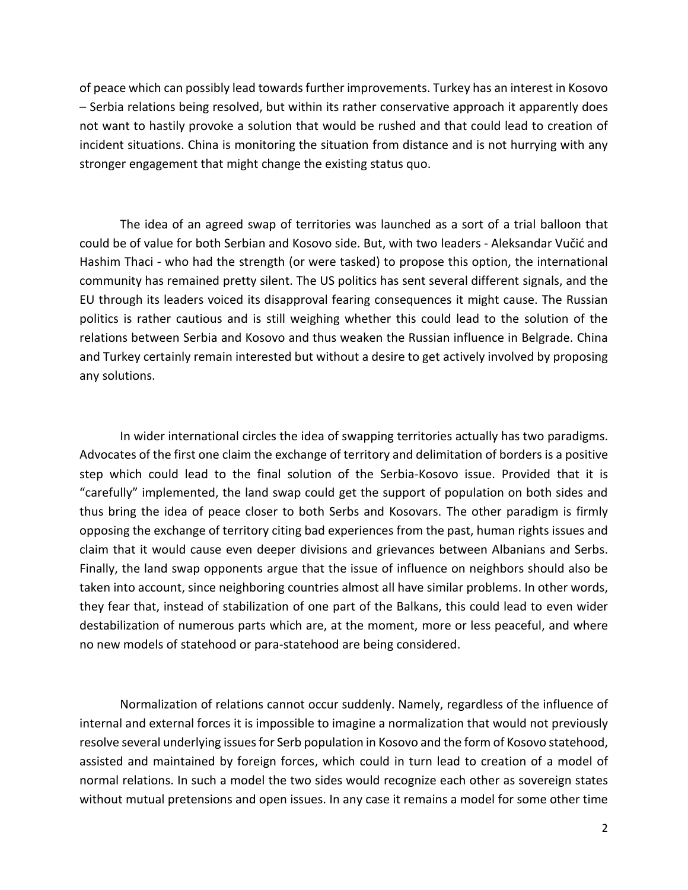of peace which can possibly lead towards further improvements. Turkey has an interest in Kosovo – Serbia relations being resolved, but within its rather conservative approach it apparently does not want to hastily provoke a solution that would be rushed and that could lead to creation of incident situations. China is monitoring the situation from distance and is not hurrying with any stronger engagement that might change the existing status quo.

The idea of an agreed swap of territories was launched as a sort of a trial balloon that could be of value for both Serbian and Kosovo side. But, with two leaders - Aleksandar Vučić and Hashim Thaci - who had the strength (or were tasked) to propose this option, the international community has remained pretty silent. The US politics has sent several different signals, and the EU through its leaders voiced its disapproval fearing consequences it might cause. The Russian politics is rather cautious and is still weighing whether this could lead to the solution of the relations between Serbia and Kosovo and thus weaken the Russian influence in Belgrade. China and Turkey certainly remain interested but without a desire to get actively involved by proposing any solutions.

In wider international circles the idea of swapping territories actually has two paradigms. Advocates of the first one claim the exchange of territory and delimitation of borders is a positive step which could lead to the final solution of the Serbia-Kosovo issue. Provided that it is "carefully" implemented, the land swap could get the support of population on both sides and thus bring the idea of peace closer to both Serbs and Kosovars. The other paradigm is firmly opposing the exchange of territory citing bad experiences from the past, human rights issues and claim that it would cause even deeper divisions and grievances between Albanians and Serbs. Finally, the land swap opponents argue that the issue of influence on neighbors should also be taken into account, since neighboring countries almost all have similar problems. In other words, they fear that, instead of stabilization of one part of the Balkans, this could lead to even wider destabilization of numerous parts which are, at the moment, more or less peaceful, and where no new models of statehood or para-statehood are being considered.

Normalization of relations cannot occur suddenly. Namely, regardless of the influence of internal and external forces it is impossible to imagine a normalization that would not previously resolve several underlying issues for Serb population in Kosovo and the form of Kosovo statehood, assisted and maintained by foreign forces, which could in turn lead to creation of a model of normal relations. In such a model the two sides would recognize each other as sovereign states without mutual pretensions and open issues. In any case it remains a model for some other time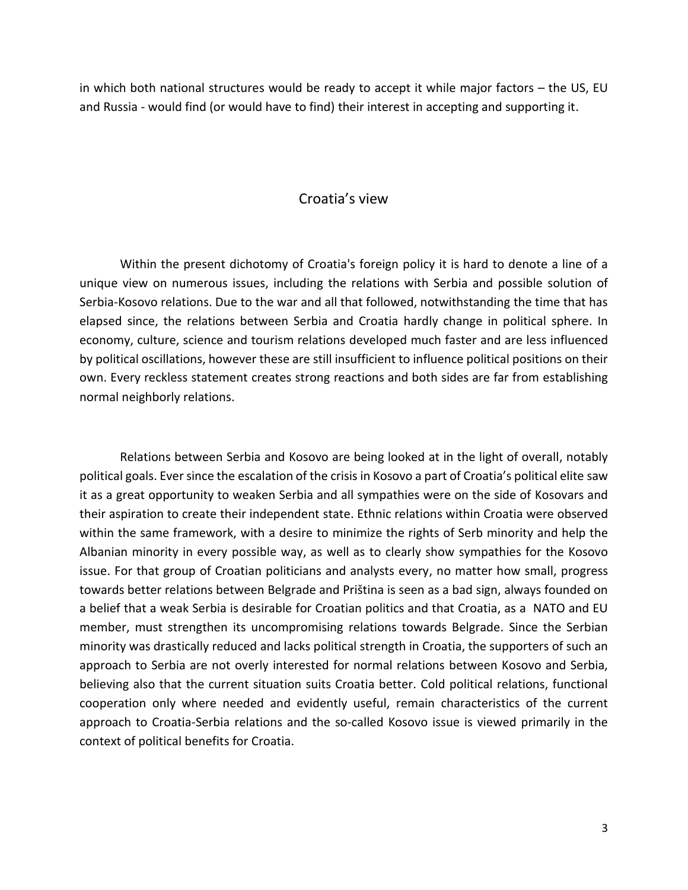in which both national structures would be ready to accept it while major factors – the US, EU and Russia - would find (or would have to find) their interest in accepting and supporting it.

## Croatia's view

Within the present dichotomy of Croatia's foreign policy it is hard to denote a line of a unique view on numerous issues, including the relations with Serbia and possible solution of Serbia-Kosovo relations. Due to the war and all that followed, notwithstanding the time that has elapsed since, the relations between Serbia and Croatia hardly change in political sphere. In economy, culture, science and tourism relations developed much faster and are less influenced by political oscillations, however these are still insufficient to influence political positions on their own. Every reckless statement creates strong reactions and both sides are far from establishing normal neighborly relations.

Relations between Serbia and Kosovo are being looked at in the light of overall, notably political goals. Ever since the escalation of the crisis in Kosovo a part of Croatia's political elite saw it as a great opportunity to weaken Serbia and all sympathies were on the side of Kosovars and their aspiration to create their independent state. Ethnic relations within Croatia were observed within the same framework, with a desire to minimize the rights of Serb minority and help the Albanian minority in every possible way, as well as to clearly show sympathies for the Kosovo issue. For that group of Croatian politicians and analysts every, no matter how small, progress towards better relations between Belgrade and Priština is seen as a bad sign, always founded on a belief that a weak Serbia is desirable for Croatian politics and that Croatia, as a NATO and EU member, must strengthen its uncompromising relations towards Belgrade. Since the Serbian minority was drastically reduced and lacks political strength in Croatia, the supporters of such an approach to Serbia are not overly interested for normal relations between Kosovo and Serbia, believing also that the current situation suits Croatia better. Cold political relations, functional cooperation only where needed and evidently useful, remain characteristics of the current approach to Croatia-Serbia relations and the so-called Kosovo issue is viewed primarily in the context of political benefits for Croatia.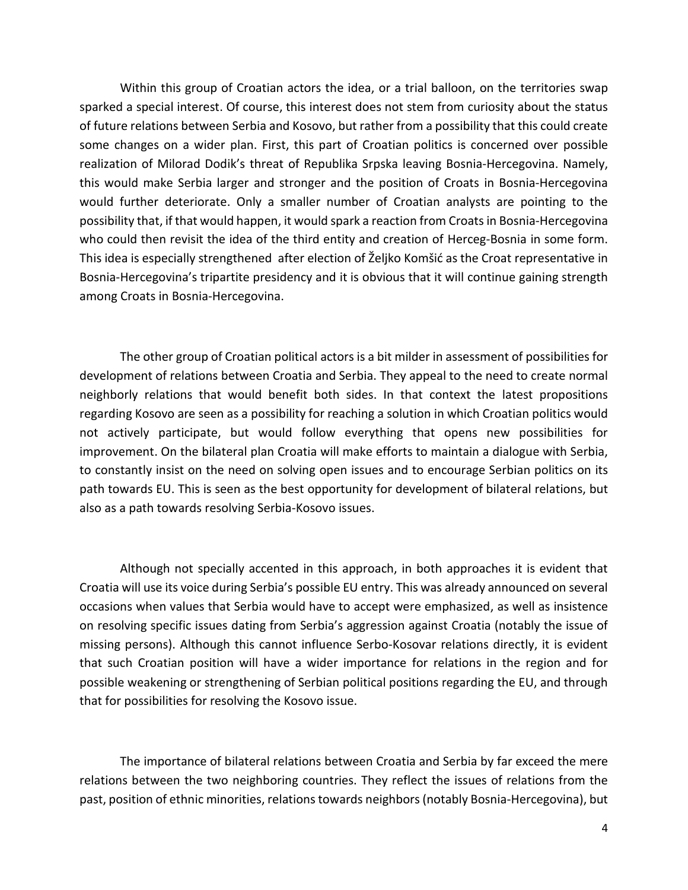Within this group of Croatian actors the idea, or a trial balloon, on the territories swap sparked a special interest. Of course, this interest does not stem from curiosity about the status of future relations between Serbia and Kosovo, but rather from a possibility that this could create some changes on a wider plan. First, this part of Croatian politics is concerned over possible realization of Milorad Dodik's threat of Republika Srpska leaving Bosnia-Hercegovina. Namely, this would make Serbia larger and stronger and the position of Croats in Bosnia-Hercegovina would further deteriorate. Only a smaller number of Croatian analysts are pointing to the possibility that, if that would happen, it would spark a reaction from Croatsin Bosnia-Hercegovina who could then revisit the idea of the third entity and creation of Herceg-Bosnia in some form. This idea is especially strengthened after election of Željko Komšić as the Croat representative in Bosnia-Hercegovina's tripartite presidency and it is obvious that it will continue gaining strength among Croats in Bosnia-Hercegovina.

The other group of Croatian political actors is a bit milder in assessment of possibilities for development of relations between Croatia and Serbia. They appeal to the need to create normal neighborly relations that would benefit both sides. In that context the latest propositions regarding Kosovo are seen as a possibility for reaching a solution in which Croatian politics would not actively participate, but would follow everything that opens new possibilities for improvement. On the bilateral plan Croatia will make efforts to maintain a dialogue with Serbia, to constantly insist on the need on solving open issues and to encourage Serbian politics on its path towards EU. This is seen as the best opportunity for development of bilateral relations, but also as a path towards resolving Serbia-Kosovo issues.

Although not specially accented in this approach, in both approaches it is evident that Croatia will use its voice during Serbia's possible EU entry. This was already announced on several occasions when values that Serbia would have to accept were emphasized, as well as insistence on resolving specific issues dating from Serbia's aggression against Croatia (notably the issue of missing persons). Although this cannot influence Serbo-Kosovar relations directly, it is evident that such Croatian position will have a wider importance for relations in the region and for possible weakening or strengthening of Serbian political positions regarding the EU, and through that for possibilities for resolving the Kosovo issue.

The importance of bilateral relations between Croatia and Serbia by far exceed the mere relations between the two neighboring countries. They reflect the issues of relations from the past, position of ethnic minorities, relations towards neighbors(notably Bosnia-Hercegovina), but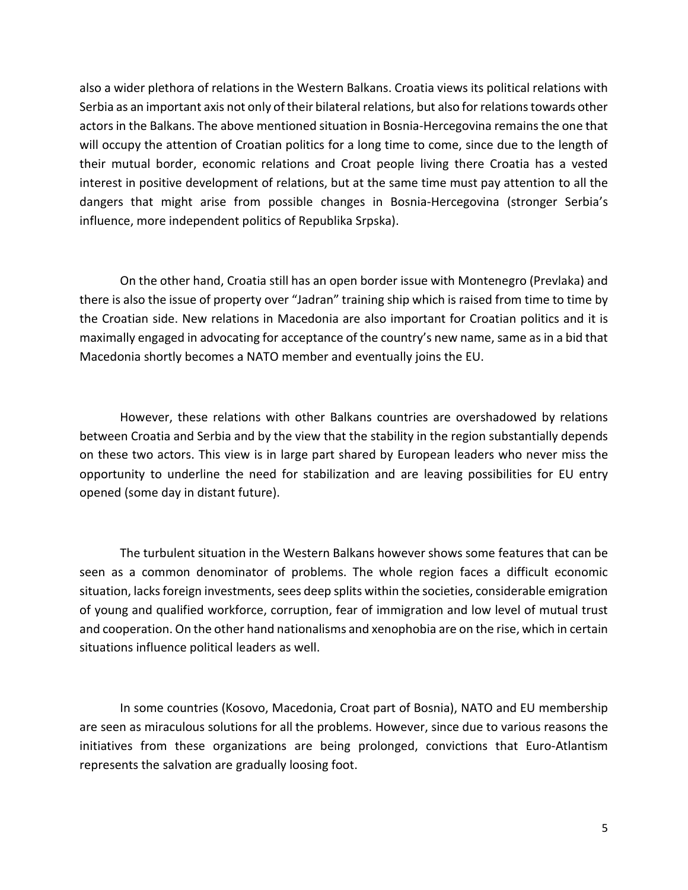also a wider plethora of relations in the Western Balkans. Croatia views its political relations with Serbia as an important axis not only of their bilateral relations, but also for relations towards other actors in the Balkans. The above mentioned situation in Bosnia-Hercegovina remains the one that will occupy the attention of Croatian politics for a long time to come, since due to the length of their mutual border, economic relations and Croat people living there Croatia has a vested interest in positive development of relations, but at the same time must pay attention to all the dangers that might arise from possible changes in Bosnia-Hercegovina (stronger Serbia's influence, more independent politics of Republika Srpska).

On the other hand, Croatia still has an open border issue with Montenegro (Prevlaka) and there is also the issue of property over "Jadran" training ship which is raised from time to time by the Croatian side. New relations in Macedonia are also important for Croatian politics and it is maximally engaged in advocating for acceptance of the country's new name, same as in a bid that Macedonia shortly becomes a NATO member and eventually joins the EU.

However, these relations with other Balkans countries are overshadowed by relations between Croatia and Serbia and by the view that the stability in the region substantially depends on these two actors. This view is in large part shared by European leaders who never miss the opportunity to underline the need for stabilization and are leaving possibilities for EU entry opened (some day in distant future).

The turbulent situation in the Western Balkans however shows some features that can be seen as a common denominator of problems. The whole region faces a difficult economic situation, lacks foreign investments, sees deep splits within the societies, considerable emigration of young and qualified workforce, corruption, fear of immigration and low level of mutual trust and cooperation. On the other hand nationalisms and xenophobia are on the rise, which in certain situations influence political leaders as well.

In some countries (Kosovo, Macedonia, Croat part of Bosnia), NATO and EU membership are seen as miraculous solutions for all the problems. However, since due to various reasons the initiatives from these organizations are being prolonged, convictions that Euro-Atlantism represents the salvation are gradually loosing foot.